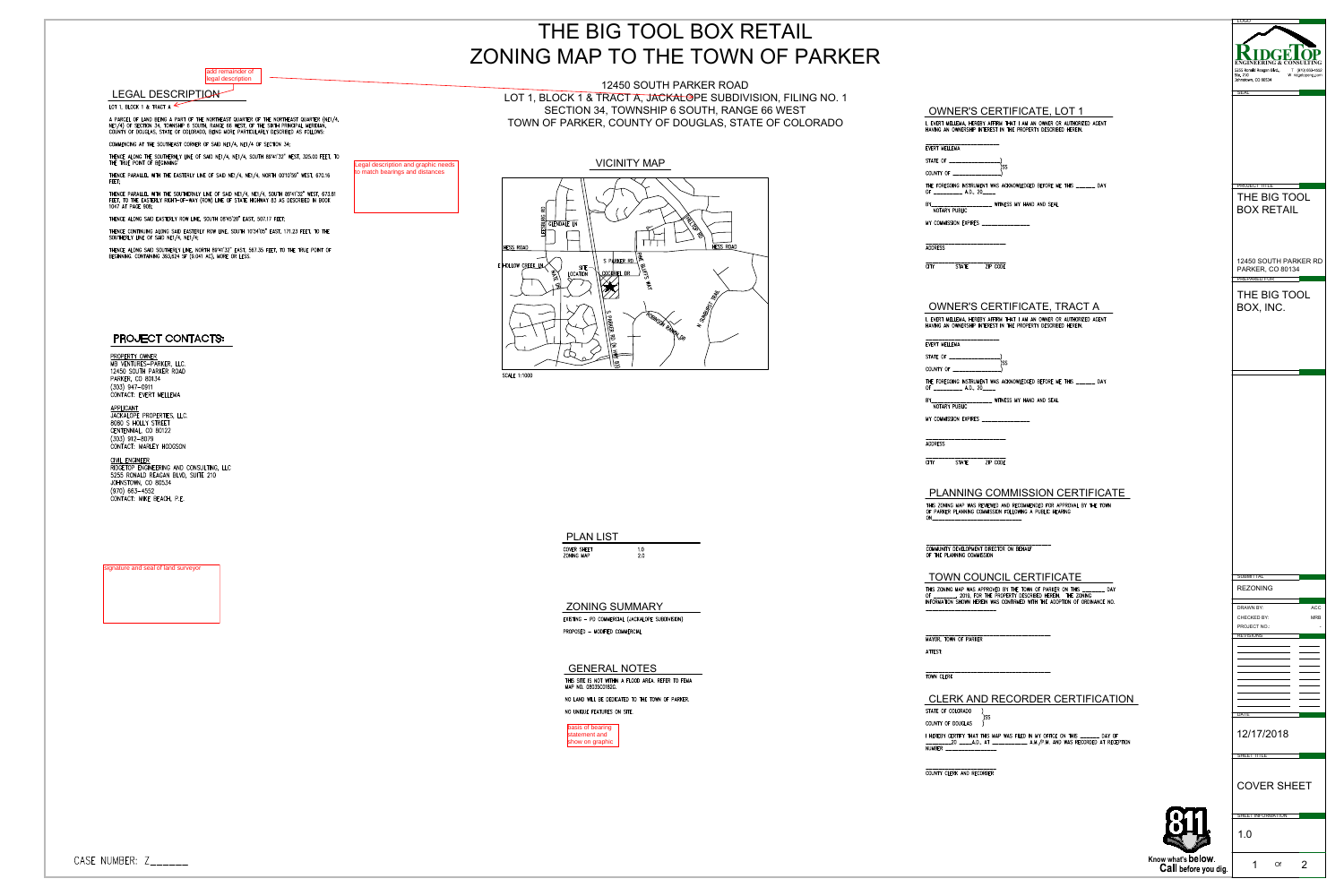|                                                                                                                                                                                                                                                                 | THE BIG TOOL BOX RETAIL                                                                             |                                                                                                                                                                                                                         |                                                                                                           |
|-----------------------------------------------------------------------------------------------------------------------------------------------------------------------------------------------------------------------------------------------------------------|-----------------------------------------------------------------------------------------------------|-------------------------------------------------------------------------------------------------------------------------------------------------------------------------------------------------------------------------|-----------------------------------------------------------------------------------------------------------|
| add remainder of                                                                                                                                                                                                                                                | ZONING MAP TO THE TOWN OF PARKER                                                                    |                                                                                                                                                                                                                         | ENGINEERING & CONSULTIN<br>5255 Ronald Reagan Blvd.,<br>T (970) 663-4552<br>Ste. 210<br>W ridgetopeng.com |
| legal description<br><b>LEGAL DESCRIPTION</b>                                                                                                                                                                                                                   | 12450 SOUTH PARKER ROAD<br>LOT 1, BLOCK 1 & TRACT A, JACKALOPE SUBDIVISION, FILING NO. 1            |                                                                                                                                                                                                                         | Johnstown, CO 80534                                                                                       |
| IT 1, BLOCK 1 & TRACT A<br>PARCEL OF LAND BEING A PART OF THE NORTHEAST QUARTER OF THE NORTHEAST QUARTER (NE1/4,<br>[1/4) OF SECTION 34, TOWNSHIP 6 SOUTH, RANGE 66 WEST, OF THE SIXTH PRINCIPAL MERIDIAN,<br>JUNTY OF DOUGLAS, STATE OF COLORADO, BEING MORE P | SECTION 34, TOWNSHIP 6 SOUTH, RANGE 66 WEST<br>TOWN OF PARKER, COUNTY OF DOUGLAS, STATE OF COLORADO | <b>OWNER'S CERTIFICATE, LOT 1</b><br>I, EVERT MELLEMA, HEREBY AFFIRM THAT I AM AN OWNER OR AUTHORIZED AGENT<br>HAVING AN OWNERSHIP INTEREST IN THE PROPERTY DESCRIBED HEREIN.                                           |                                                                                                           |
| DMMENCING AT THE SOUTHEAST CORNER OF SAID NE1/4, NE1/4 OF SECTION 34;                                                                                                                                                                                           |                                                                                                     | EVERT MELLEMA                                                                                                                                                                                                           |                                                                                                           |
| HENCE ALONG THE SOUTHERNLY LINE OF SAID NE1/4, NE1/4, SOUTH 89°41'32" WEST, 325.00 FEET, TO<br>HE TRUE POINT OF BEGINNING'<br>Legal description and graphic needs<br>to match bearings and distances                                                            | <b>VICINITY MAP</b>                                                                                 | STATE OF<br>COUNTY OF _________________)                                                                                                                                                                                |                                                                                                           |
| IENCE PARALLEL WITH THE EASTERLY LINE OF SAID NE1/4, NE1/4, NORTH 00°10'59" WEST, 670.16                                                                                                                                                                        |                                                                                                     | THE FOREGOING INSTRUMENT WAS ACKNOWLEDGED BEFORE ME THIS ______ DAY<br>OF ______________ A.D., 20_____                                                                                                                  | <b>PROJECT TITLE</b>                                                                                      |
| HENCE PARALLEL WITH THE SOUTHERNLY LINE OF SAID NE1/4, NE1/4, SOUTH 89°41'32" WEST, 673.81<br>EET, TO THE EASTERLY RIGHT-OF-WAY (ROW) LINE OF STATE HIGHWAY 83 AS DESCRIBED IN BOOK<br>147 AT PAGE 908;                                                         |                                                                                                     | BY_______________________ WITNESS MY HAND AND SEAL<br>NOTARY PUBLIC                                                                                                                                                     | THE BIG TOOL<br><b>BOX RETAIL</b>                                                                         |
| IENCE ALONG SAID EASTERLY ROW LINE, SOUTH 08°45'20" EAST, 507.17 FEET;<br>HENCE CONTINUING ALONG SAID EASTERLY ROW LINE, SOUTH 10°34'05" EAST, 171.23 FEET, TO THE<br>JUTHERLY LINE OF SAID NE1/4, NE1/4;                                                       | <b>GLENDALE LN</b>                                                                                  | MY COMMISSION EXPIRES _________________                                                                                                                                                                                 |                                                                                                           |
| HENCE ALONG SAID SOUTHERLY LINE, NORTH 89°41'32" EAST, 567.35 FEET, TO THE TRUE POINT OF<br>EGINNING. CONTAINING 393,624 SF (9.041 AC), MORE OR LESS.                                                                                                           | <b>HESS ROAD</b><br><b>HESS ROAD</b>                                                                | <b>ADDRESS</b>                                                                                                                                                                                                          |                                                                                                           |
|                                                                                                                                                                                                                                                                 | SPARKERRD<br>$\epsilon$ HOLLOW CREEK LN<br>- SITE<br>LOCATION<br><u> LCOCKRIEL DR</u>               | STATE ZIP CODE<br><b>STATE</b><br>CITY                                                                                                                                                                                  | 12450 SOUTH PARKER RD<br><b>PARKER, CO 80134</b><br><b>PREPARED FOR</b>                                   |
|                                                                                                                                                                                                                                                                 |                                                                                                     | OWNER'S CERTIFICATE, TRACT A<br>I, EVERT MELLEMA, HEREBY AFFIRM THAT I AM AN OWNER OR AUTHORIZED AGENT<br>HAVING AN OWNERSHIP INTEREST IN THE PROPERTY DESCRIBED HEREIN.                                                | THE BIG TOOL<br>BOX, INC.                                                                                 |
| PROJECT CONTACTS:                                                                                                                                                                                                                                               |                                                                                                     | _______________________<br>EVERT MELLEMA                                                                                                                                                                                |                                                                                                           |
| ROPERTY OWNER<br><b>IB VENTURES-PARKER, LLC.</b>                                                                                                                                                                                                                |                                                                                                     | STATE OF _________________                                                                                                                                                                                              |                                                                                                           |
| 2450 SOUTH PARKER ROAD<br>ARKER, CO 80134<br>303) 947-0911                                                                                                                                                                                                      | <b>SCALE 1:1000</b>                                                                                 | COUNTY OF _______________<br>THE FOREGOING INSTRUMENT WAS ACKNOWLEDGED BEFORE ME THIS ______ DAY                                                                                                                        |                                                                                                           |
| ONTACT: EVERT MELLEMA                                                                                                                                                                                                                                           |                                                                                                     | OF _____________ A.D., 20_____<br>BY________________________ WITNESS MY HAND AND SEAL<br>NOTARY PUBLIC                                                                                                                  |                                                                                                           |
| <u>PPLICANT</u><br>ACKALOPE PROPERTIES, LLC.<br>080 S HOLLY STREET                                                                                                                                                                                              |                                                                                                     | MY COMMISSION EXPIRES                                                                                                                                                                                                   |                                                                                                           |
| ENTENNIAL, CO 80122<br>303) 912-8079<br>ONTACT: MARLEY HODGSON                                                                                                                                                                                                  |                                                                                                     | -------------------------<br><b>ADDRESS</b>                                                                                                                                                                             |                                                                                                           |
| <u>I'VIL ENGINEER</u><br>IIDGETOP ENGINEERING AND CONSULTING, LLC<br>255 RONALD REAGAN BLVD, SUITE 210                                                                                                                                                          |                                                                                                     | ZIP CODE<br>STATE<br>CITY .                                                                                                                                                                                             |                                                                                                           |
| OHNSTOWN, CO 80534<br>970) 663-4552<br>ONTACT: MIKE BEACH, P.E.                                                                                                                                                                                                 |                                                                                                     | <b>PLANNING COMMISSION CERTIFICATE</b><br>THIS ZONING MAP WAS REVIEWED AND RECOMMENDED FOR APPROVAL BY THE TOWN<br>OF PARKER PLANNING COMMISSION FOLLOWING A PUBLIC HEARING                                             |                                                                                                           |
|                                                                                                                                                                                                                                                                 |                                                                                                     |                                                                                                                                                                                                                         |                                                                                                           |
|                                                                                                                                                                                                                                                                 | <b>PLAN LIST</b><br>COVER SHEET<br>1.0<br>2.0<br>ZONING MAP                                         | COMMUNITY DEVELOPMENT DIRECTOR ON BEHALF<br>OF THE PLANNING COMMISSION                                                                                                                                                  |                                                                                                           |
| nature and seal of land surveyor                                                                                                                                                                                                                                |                                                                                                     | <b>TOWN COUNCIL CERTIFICATE</b>                                                                                                                                                                                         | <b>SUBMITTAI</b>                                                                                          |
|                                                                                                                                                                                                                                                                 | <b>ZONING SUMMARY</b>                                                                               | THIS ZONING MAP WAS APPROVED BY THE TOWN OF PARKER ON THIS _______ DAY<br>OF ________, 2019, FOR THE PROPERTY DESCRIBED HEREIN. THE ZONING<br>INFORMATION SHOWN HEREIN WAS CONFIRMED WITH THE ADOPTION OF ORDINANCE NO. | <b>REZONING</b>                                                                                           |
|                                                                                                                                                                                                                                                                 | EXISTING - PD COMMERCIAL (JACKALOPE SUBDIVISION)                                                    | -----------------------                                                                                                                                                                                                 | $\mathsf{ACC}$<br><b>DRAWN BY:</b><br><b>MRB</b><br><b>CHECKED BY:</b><br>PROJECT NO.:                    |
|                                                                                                                                                                                                                                                                 | PROPOSED - MODIFIED COMMERCIAL                                                                      | MAYOR, TOWN OF PARKER                                                                                                                                                                                                   | <b>REVISIONS</b>                                                                                          |
|                                                                                                                                                                                                                                                                 |                                                                                                     | ATTEST:                                                                                                                                                                                                                 |                                                                                                           |
|                                                                                                                                                                                                                                                                 | <b>GENERAL NOTES</b><br>THIS SITE IS NOT WITHIN A FLOOD AREA. REFER TO FEMA<br>MAP NO. 08035C0182G. | TOWN CLERK                                                                                                                                                                                                              | and the contract of the contract of                                                                       |
|                                                                                                                                                                                                                                                                 | NO LAND WILL BE DEDICATED TO THE TOWN OF PARKER.                                                    | CLERK AND RECORDER CERTIFICATION                                                                                                                                                                                        |                                                                                                           |
|                                                                                                                                                                                                                                                                 | NO UNIQUE FEATURES ON SITE.<br>basis of bearing                                                     | STATE OF COLORADO<br>COUNTY OF DOUGLAS                                                                                                                                                                                  | <b>DATE</b>                                                                                               |
|                                                                                                                                                                                                                                                                 | statement and<br>show on graphic                                                                    | I HEREBY CERTIFY THAT THIS MAP WAS FILED IN MY OFFICE ON THIS ______ DAY OF<br>NUMBER _________________                                                                                                                 | 12/17/2018                                                                                                |
|                                                                                                                                                                                                                                                                 |                                                                                                     | COUNTY CLERK AND RECORDER                                                                                                                                                                                               | SHEET TITLE                                                                                               |
|                                                                                                                                                                                                                                                                 |                                                                                                     |                                                                                                                                                                                                                         | <b>COVER SHEET</b>                                                                                        |
|                                                                                                                                                                                                                                                                 |                                                                                                     |                                                                                                                                                                                                                         | SHEET INFORMATION<br>1.0                                                                                  |
| MBER: Z______                                                                                                                                                                                                                                                   |                                                                                                     | Know what's below.                                                                                                                                                                                                      |                                                                                                           |
|                                                                                                                                                                                                                                                                 |                                                                                                     |                                                                                                                                                                                                                         | Of<br>Call before you dig.                                                                                |



signature and seal of land surveyor



| PLAN LIST               |           |
|-------------------------|-----------|
| OVER SHEET<br>ONING MAP | 1 N<br>20 |